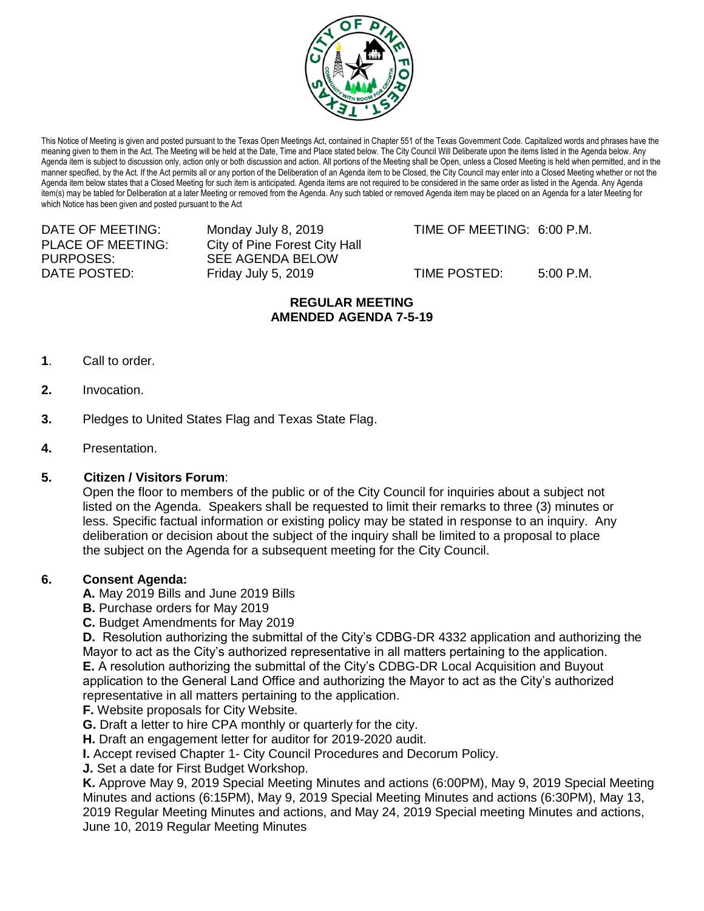

This Notice of Meeting is given and posted pursuant to the Texas Open Meetings Act, contained in Chapter 551 of the Texas Government Code. Capitalized words and phrases have the meaning given to them in the Act. The Meeting will be held at the Date, Time and Place stated below. The City Council Will Deliberate upon the items listed in the Agenda below. Any Agenda item is subject to discussion only, action only or both discussion and action. All portions of the Meeting shall be Open, unless a Closed Meeting is held when permitted, and in the manner specified, by the Act. If the Act permits all or any portion of the Deliberation of an Agenda item to be Closed, the City Council may enter into a Closed Meeting whether or not the Agenda item below states that a Closed Meeting for such item is anticipated. Agenda items are not required to be considered in the same order as listed in the Agenda. Any Agenda item(s) may be tabled for Deliberation at a later Meeting or removed from the Agenda. Any such tabled or removed Agenda item may be placed on an Agenda for a later Meeting for which Notice has been given and posted pursuant to the Act

PURPOSES: SEE AGENDA BELOW

PLACE OF MEETING: City of Pine Forest City Hall DATE POSTED: Friday July 5, 2019 TIME POSTED: 5:00 P.M.

DATE OF MEETING: Monday July 8, 2019 TIME OF MEETING: 6:00 P.M.

## **REGULAR MEETING AMENDED AGENDA 7-5-19**

- **1**. Call to order.
- **2.** Invocation.
- **3.** Pledges to United States Flag and Texas State Flag.
- **4.** Presentation.

## **5. Citizen / Visitors Forum**:

Open the floor to members of the public or of the City Council for inquiries about a subject not listed on the Agenda. Speakers shall be requested to limit their remarks to three (3) minutes or less. Specific factual information or existing policy may be stated in response to an inquiry. Any deliberation or decision about the subject of the inquiry shall be limited to a proposal to place the subject on the Agenda for a subsequent meeting for the City Council.

## **6. Consent Agenda:**

**A.** May 2019 Bills and June 2019 Bills

- **B.** Purchase orders for May 2019
- **C.** Budget Amendments for May 2019

**D.** Resolution authorizing the submittal of the City's CDBG-DR 4332 application and authorizing the Mayor to act as the City's authorized representative in all matters pertaining to the application. **E.** A resolution authorizing the submittal of the City's CDBG-DR Local Acquisition and Buyout application to the General Land Office and authorizing the Mayor to act as the City's authorized representative in all matters pertaining to the application.

- **F.** Website proposals for City Website.
- **G.** Draft a letter to hire CPA monthly or quarterly for the city.
- **H.** Draft an engagement letter for auditor for 2019-2020 audit.
- **I.** Accept revised Chapter 1- City Council Procedures and Decorum Policy.
- **J.** Set a date for First Budget Workshop.

**K.** Approve May 9, 2019 Special Meeting Minutes and actions (6:00PM), May 9, 2019 Special Meeting Minutes and actions (6:15PM), May 9, 2019 Special Meeting Minutes and actions (6:30PM), May 13, 2019 Regular Meeting Minutes and actions, and May 24, 2019 Special meeting Minutes and actions, June 10, 2019 Regular Meeting Minutes